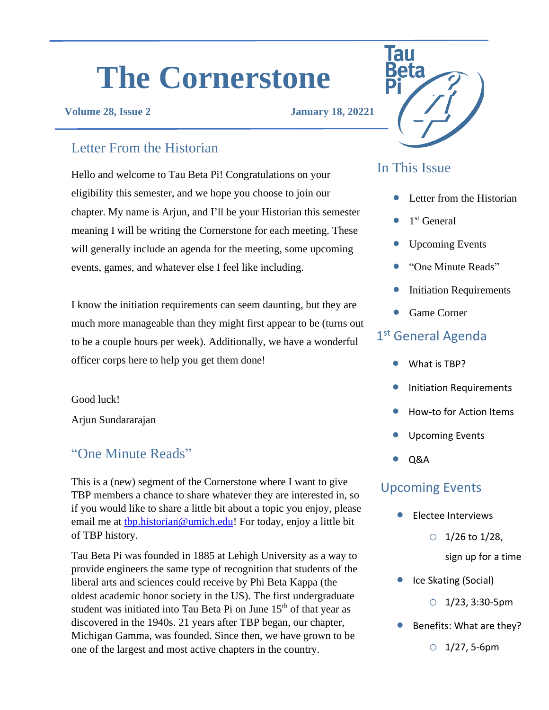# **The Cornerstone**

#### **Volume 28, Issue 2 January 18, 20221**

#### Letter From the Historian

Hello and welcome to Tau Beta Pi! Congratulations on your eligibility this semester, and we hope you choose to join our chapter. My name is Arjun, and I'll be your Historian this semester meaning I will be writing the Cornerstone for each meeting. These will generally include an agenda for the meeting, some upcoming events, games, and whatever else I feel like including.

I know the initiation requirements can seem daunting, but they are much more manageable than they might first appear to be (turns out to be a couple hours per week). Additionally, we have a wonderful officer corps here to help you get them done!

Good luck!

Arjun Sundararajan

## "One Minute Reads" and a set of the contract of the contract of the contract of the contract of the contract of the contract of the contract of the contract of the contract of the contract of the contract of the contract o

This is a (new) segment of the Cornerstone where I want to give TBP members a chance to share whatever they are interested in, so if you would like to share a little bit about a topic you enjoy, please email me at the historian@umich.edu! For today, enjoy a little bit of TBP history.

Tau Beta Pi was founded in 1885 at Lehigh University as a way to provide engineers the same type of recognition that students of the liberal arts and sciences could receive by Phi Beta Kappa (the oldest academic honor society in the US). The first undergraduate student was initiated into Tau Beta Pi on June 15<sup>th</sup> of that year as discovered in the 1940s. 21 years after TBP began, our chapter, Michigan Gamma, was founded. Since then, we have grown to be one of the largest and most active chapters in the country.



#### In This Issue

- Letter from the Historian
- $\bullet$  1<sup>st</sup> General
- Upcoming Events
- "One Minute Reads"
- **Initiation Requirements**
- Game Corner

### 1st General Agenda

- What is TBP?
- Initiation Requirements
- How-to for Action Items
- Upcoming Events
- 

#### Upcoming Events

- Electee Interviews
	- $\circ$  1/26 to 1/28,
		- sign up for a time
- Ice Skating (Social)

 $O$  1/23, 3:30-5pm

• Benefits: What are they?

 $O$  1/27, 5-6pm